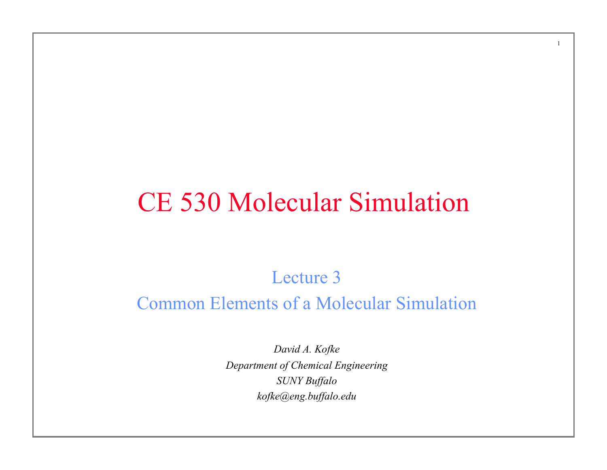## CE 530 Molecular Simulation

1

### Lecture 3 Common Elements of a Molecular Simulation

*David A. Kofke Department of Chemical Engineering SUNY Buffalo kofke@eng.buffalo.edu*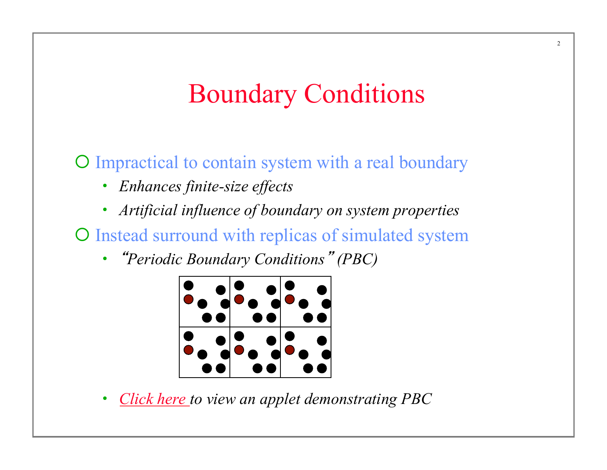## Boundary Conditions

¡ Impractical to contain system with a real boundary

- *Enhances finite-size effects*
- *Artificial influence of boundary on system properties*
- O Instead surround with replicas of simulated system
	- "*Periodic Boundary Conditions*" *(PBC)*



• *Click here to view an applet demonstrating PBC*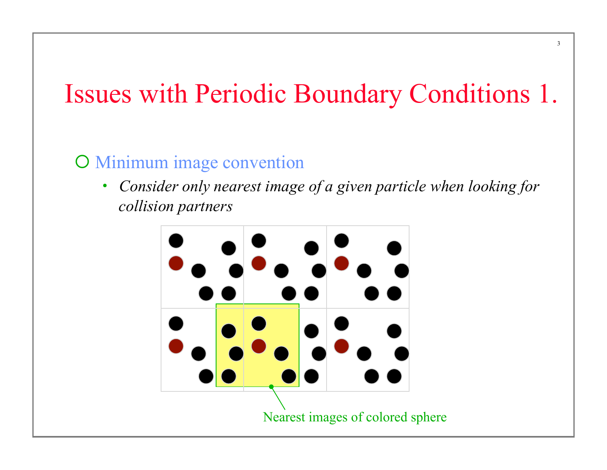# Issues with Periodic Boundary Conditions 1.

3

#### **O** Minimum image convention

• *Consider only nearest image of a given particle when looking for collision partners* 

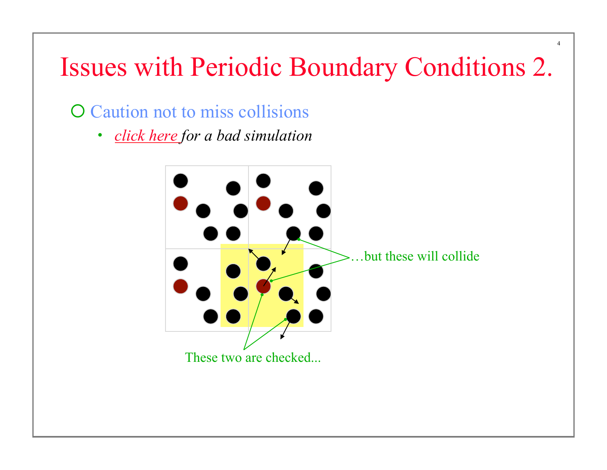## Issues with Periodic Boundary Conditions 2.

4

### O Caution not to miss collisions

• *click here for a bad simulation* 

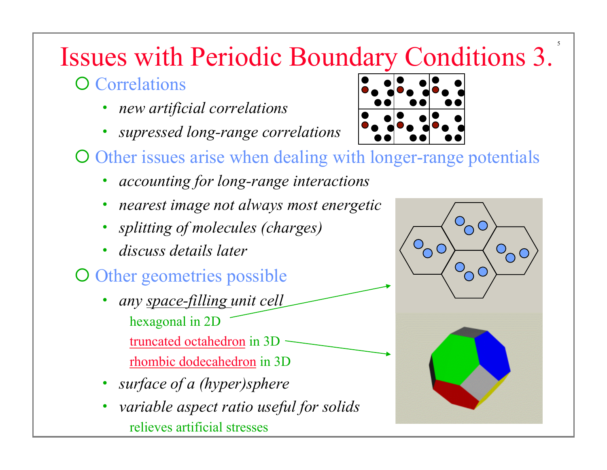# Issues with Periodic Boundary Conditions 3.

### **O** Correlations

- *new artificial correlations*
- *supressed long-range correlations*



- O Other issues arise when dealing with longer-range potentials
	- *accounting for long-range interactions*
	- *nearest image not always most energetic*
	- *splitting of molecules (charges)*
	- *discuss details later*

### O Other geometries possible

- *any space-filling unit cell*  hexagonal in 2D truncated octahedron in 3D rhombic dodecahedron in 3D
- *surface of a (hyper)sphere*
- *variable aspect ratio useful for solids*  relieves artificial stresses



5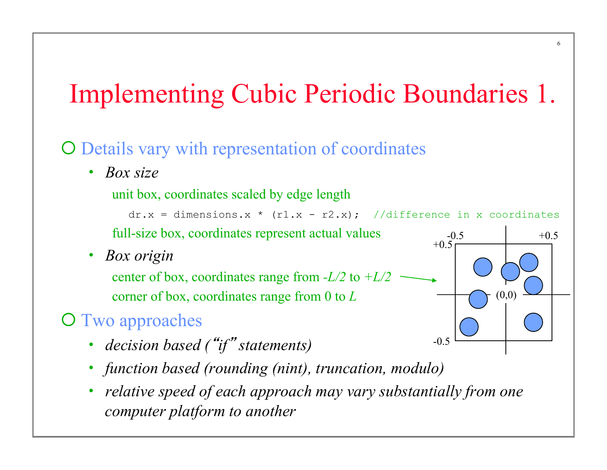# Implementing Cubic Periodic Boundaries 1.

6

O Details vary with representation of coordinates

• *Box size* 

unit box, coordinates scaled by edge length

 $dr.x = dimensions.x * (r1.x - r2.x);$  //difference in x coordinates full-size box, coordinates represent actual values  $-0.5$  +0.5  $+0.5$ 

 $-0.5$ 

 $(0,0)$ 

• *Box origin* 

center of box, coordinates range from *-L/2* to *+L/2* corner of box, coordinates range from 0 to *L*

### **O** Two approaches

- *decision based (*"*if*" *statements)*
- *function based (rounding (nint), truncation, modulo)*
- *relative speed of each approach may vary substantially from one computer platform to another*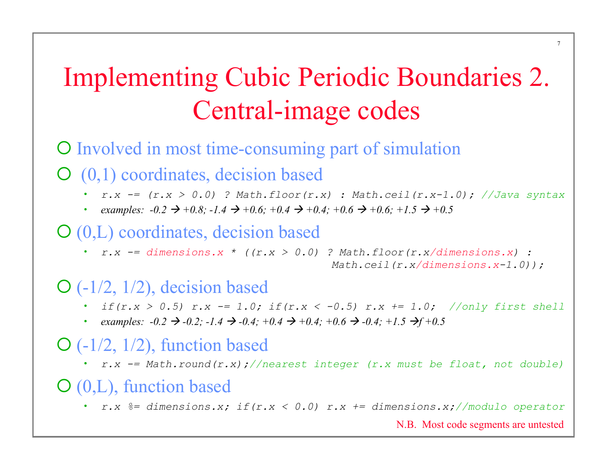# Implementing Cubic Periodic Boundaries 2. Central-image codes

¡ Involved in most time-consuming part of simulation

 $\overline{O}(0,1)$  coordinates, decision based

- *r.x -= (r.x > 0.0) ? Math.floor(r.x) : Math.ceil(r.x-1.0); //Java syntax*
- *examples:*  $-0.2 \rightarrow +0.8$ ;  $-1.4 \rightarrow +0.6$ ;  $+0.4 \rightarrow +0.4$ ;  $+0.6 \rightarrow +0.6$ ;  $+1.5 \rightarrow +0.5$

#### $\mathcal{O}(0,L)$  coordinates, decision based

•  $r.x$  -= dimensions.x \* (( $r.x > 0.0$ ) ? Math.floor( $r.x/dimensions.x$ ) :  *Math.ceil(r.x/dimensions.x-1.0));* 

#### $\mathcal{O}$  (-1/2, 1/2), decision based

- *if(r.x > 0.5) r.x -= 1.0; if(r.x < -0.5) r.x += 1.0; //only first shell*
- *examples:*  $-0.2 \rightarrow -0.2$ ;  $-1.4 \rightarrow -0.4$ ;  $+0.4 \rightarrow +0.4$ ;  $+0.6 \rightarrow -0.4$ ;  $+1.5 \rightarrow f+0.5$

#### $\mathcal{O}$  (-1/2, 1/2), function based

• *r.x -= Math.round(r.x);//nearest integer (r.x must be float, not double)* 

#### $O(0,L)$ , function based

• *r.x %= dimensions.x; if(r.x < 0.0) r.x += dimensions.x;//modulo operator* 

N.B. Most code segments are untested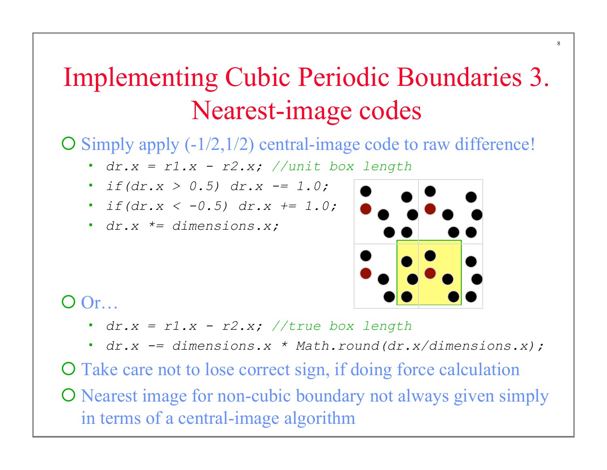# Implementing Cubic Periodic Boundaries 3. Nearest-image codes

 $\overline{O}$  Simply apply (-1/2,1/2) central-image code to raw difference!

- *dr.x = r1.x r2.x; //unit box length*
- *if(dr.x > 0.5)*  $dr.x = 1.0$ ;
- *if(dr.x < -0.5) dr.x += 1.0;*
- *dr.x \*= dimensions.x;*



8

O Or…

- *dr.x = r1.x r2.x; //true box length*
- *dr.x -= dimensions.x \* Math.round(dr.x/dimensions.x);*

O Take care not to lose correct sign, if doing force calculation O Nearest image for non-cubic boundary not always given simply in terms of a central-image algorithm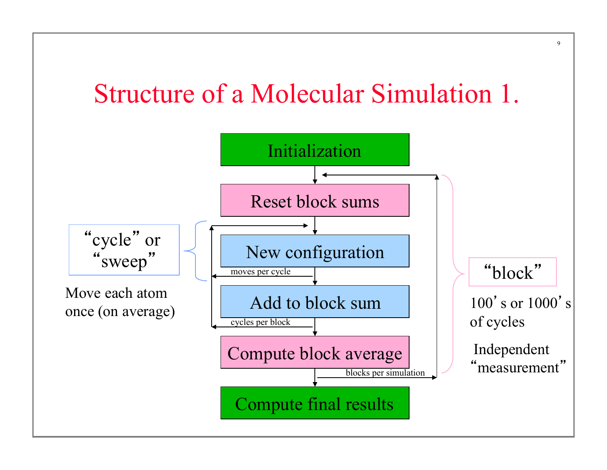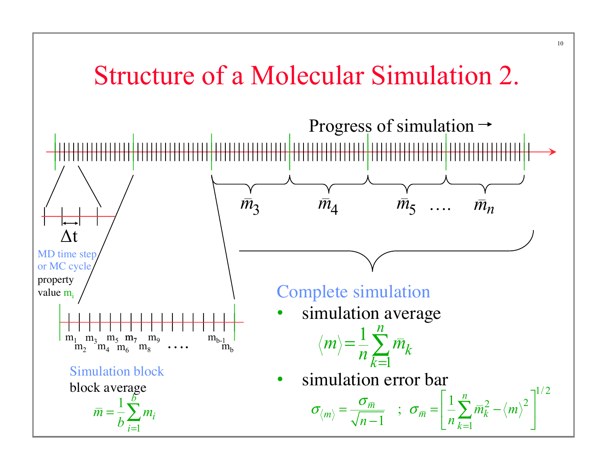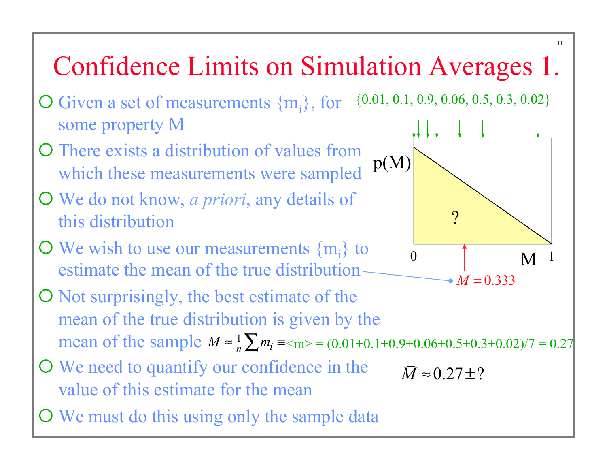# Confidence Limits on Simulation Averages 1.

- $\overline{O}$  Given a set of measurements  $\{m_i\}$ , for some property M {0.01, 0.1, 0.9, 0.06, 0.5, 0.3, 0.02}
- O There exists a distribution of values from which these measurements were sampled p(M)
- ¡ We do not know, *a priori*, any details of this distribution
- $\bullet$  We wish to use our measurements  $\{m_i\}$  to estimate the mean of the true distribution
- ¡ Not surprisingly, the best estimate of the mean of the true distribution is given by the mean of the sample  $\overline{M} \approx \frac{1}{n} \sum m_i \equiv \langle m \rangle = (0.01 + 0.1 + 0.9 + 0.06 + 0.5 + 0.3 + 0.02)/7 = 0.27$
- O We need to quantify our confidence in the value of this estimate for the mean
- O We must do this using only the sample data

 $\begin{array}{ccc} 0 & \vert & M \end{array}$   $\begin{array}{ccc} 1 & \end{array}$ ? •  $\bar{M} = 0.333$ 

 $\bar{M} \approx 0.27 \pm ?$ 

11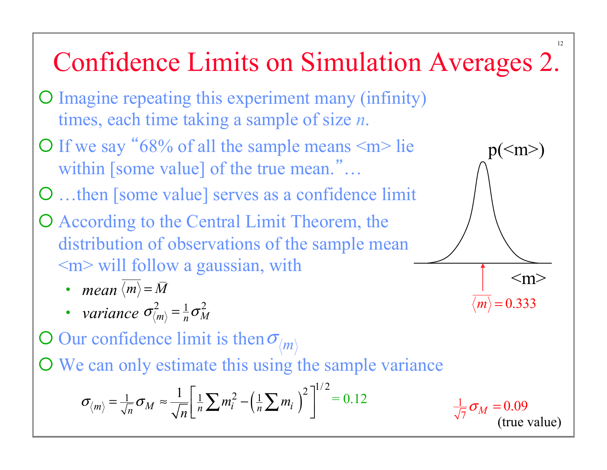#### 12 Confidence Limits on Simulation Averages 2. ¡ Imagine repeating this experiment many (infinity) times, each time taking a sample of size *n*.  $\bigcirc$  If we say "68% of all the sample means  $\leq m$  lie within [some value] of the true mean."... O ...then [some value] serves as a confidence limit O According to the Central Limit Theorem, the distribution of observations of the sample mean  $\leq m$  will follow a gaussian, with • *mean*  $\langle m \rangle = \overline{M}$ • *variance*  $\sigma_{\langle m \rangle}^2 = \frac{1}{n} \sigma_M^2$  $p(\leq m)$  $\leq m$  $\langle m \rangle$  = 0.333

 $\overline{O}$  Our confidence limit is then  $\sigma_{m}$ 

O We can only estimate this using the sample variance

$$
\sigma_{\langle m \rangle} = \frac{1}{\sqrt{n}} \sigma_M \approx \frac{1}{\sqrt{n}} \left[ \frac{1}{n} \sum m_i^2 - \left( \frac{1}{n} \sum m_i \right)^2 \right]^{1/2} = 0.12 \qquad \qquad \frac{1}{\sqrt{n}}
$$

 $\frac{1}{7}\sigma_M = 0.09$ (true value)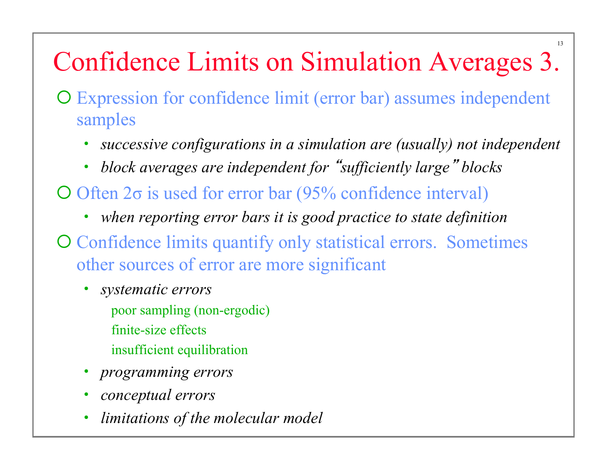# Confidence Limits on Simulation Averages 3.

13

- ¡ Expression for confidence limit (error bar) assumes independent samples
	- *successive configurations in a simulation are (usually) not independent*
	- *block averages are independent for* "*sufficiently large*" *blocks*
- $\overline{O}$  Often 2σ is used for error bar (95% confidence interval)
	- *when reporting error bars it is good practice to state definition*
- O Confidence limits quantify only statistical errors. Sometimes other sources of error are more significant
	- *systematic errors*  poor sampling (non-ergodic) finite-size effects insufficient equilibration
	- *programming errors*
	- *conceptual errors*
	- *limitations of the molecular model*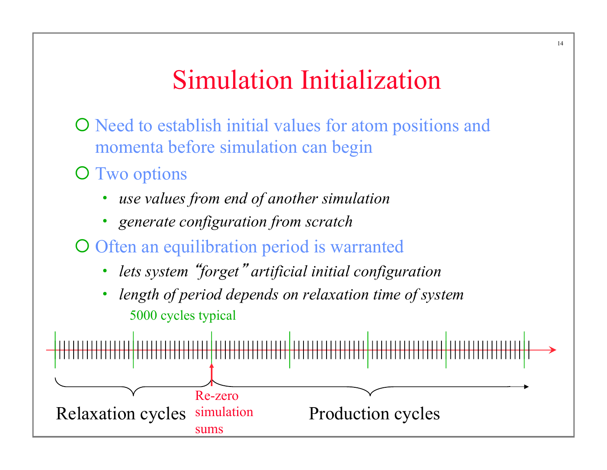## Simulation Initialization

- O Need to establish initial values for atom positions and momenta before simulation can begin
- **O** Two options
	- *use values from end of another simulation*
	- *generate configuration from scratch*
- O Often an equilibration period is warranted
	- *lets system* "*forget*" *artificial initial configuration*
	- *length of period depends on relaxation time of system*  5000 cycles typical

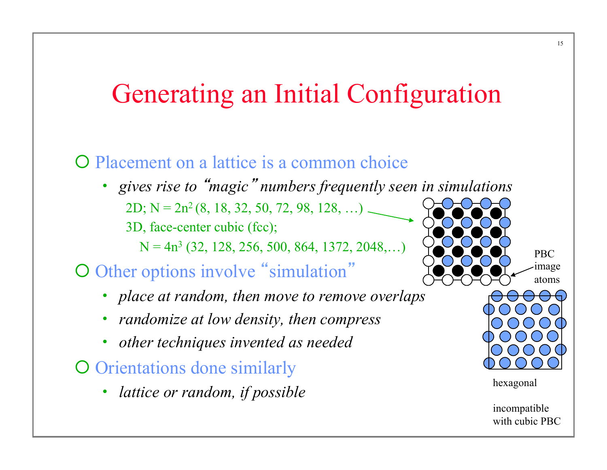## Generating an Initial Configuration

#### **O** Placement on a lattice is a common choice

• gives rise to "magic" numbers frequently seen in simu 2D; N =  $2n^2$  (8, 18, 32, 50, 72, 98, 128, ...) 3D, face-center cubic (fcc);

 $N = 4n<sup>3</sup>$  (32, 128, 256, 500, 864, 1372, 2048,...)

### O Other options involve "simulation"

- *place at random, then move to remove overlaps*
- *randomize at low density, then compress*
- *other techniques invented as needed*
- O Orientations done similarly
	- lattice or random, if possible

PBC image atoms

incompatible with cubic PBC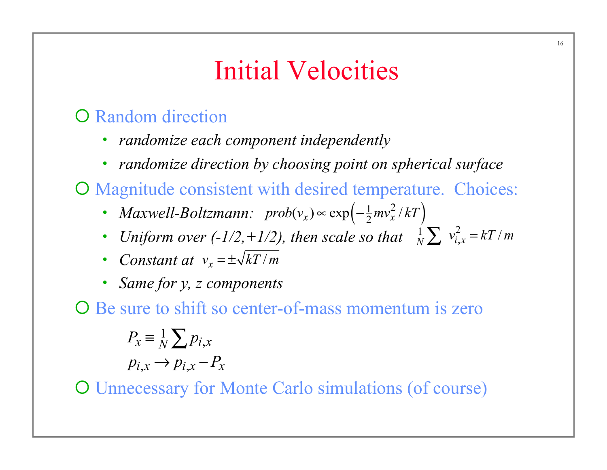## Initial Velocities

### **O** Random direction

- *randomize each component independently*
- *randomize direction by choosing point on spherical surface*

O Magnitude consistent with desired temperature. Choices:

- *Maxwell-Boltzmann:*  $prob(v_x) \propto exp\left(-\frac{1}{2}mv_x^2/kT\right)$
- Uniform over  $(-1/2, +1/2)$ , then scale so that  $\frac{1}{N}\sum v_{i,x}^2 = kT/m$
- *Constant at*  $v_x = \pm \sqrt{kT/m}$
- *Same for y, z components*

O Be sure to shift so center-of-mass momentum is zero

$$
P_x \equiv \frac{1}{N} \sum_i p_{i,x}
$$

$$
p_{i,x} \rightarrow p_{i,x} - P_x
$$

¡ Unnecessary for Monte Carlo simulations (of course)